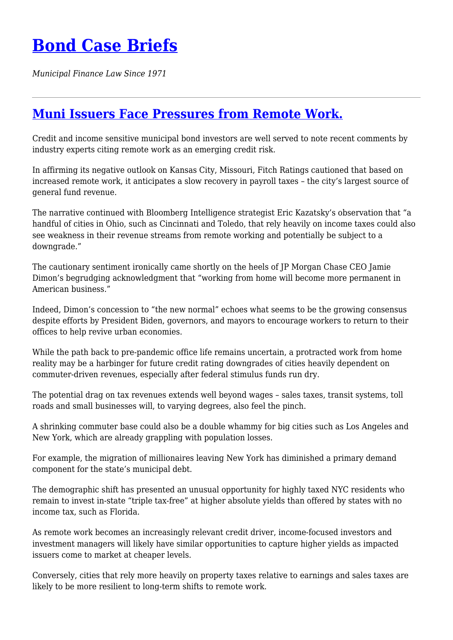## **[Bond Case Briefs](https://bondcasebriefs.com)**

*Municipal Finance Law Since 1971*

## **[Muni Issuers Face Pressures from Remote Work.](https://bondcasebriefs.com/2022/06/07/tax/muni-issuers-face-pressures-from-remote-work/)**

Credit and income sensitive municipal bond investors are well served to note recent comments by industry experts citing remote work as an emerging credit risk.

In affirming its negative outlook on Kansas City, Missouri, Fitch Ratings cautioned that based on increased remote work, it anticipates a slow recovery in payroll taxes – the city's largest source of general fund revenue.

The narrative continued with Bloomberg Intelligence strategist Eric Kazatsky's observation that "a handful of cities in Ohio, such as Cincinnati and Toledo, that rely heavily on income taxes could also see weakness in their revenue streams from remote working and potentially be subject to a downgrade."

The cautionary sentiment ironically came shortly on the heels of JP Morgan Chase CEO Jamie Dimon's begrudging acknowledgment that "working from home will become more permanent in American business."

Indeed, Dimon's concession to "the new normal" echoes what seems to be the growing consensus despite efforts by President Biden, governors, and mayors to encourage workers to return to their offices to help revive urban economies.

While the path back to pre-pandemic office life remains uncertain, a protracted work from home reality may be a harbinger for future credit rating downgrades of cities heavily dependent on commuter-driven revenues, especially after federal stimulus funds run dry.

The potential drag on tax revenues extends well beyond wages – sales taxes, transit systems, toll roads and small businesses will, to varying degrees, also feel the pinch.

A shrinking commuter base could also be a double whammy for big cities such as Los Angeles and New York, which are already grappling with population losses.

For example, the migration of millionaires leaving New York has diminished a primary demand component for the state's municipal debt.

The demographic shift has presented an unusual opportunity for highly taxed NYC residents who remain to invest in-state "triple tax-free" at higher absolute yields than offered by states with no income tax, such as Florida.

As remote work becomes an increasingly relevant credit driver, income-focused investors and investment managers will likely have similar opportunities to capture higher yields as impacted issuers come to market at cheaper levels.

Conversely, cities that rely more heavily on property taxes relative to earnings and sales taxes are likely to be more resilient to long-term shifts to remote work.